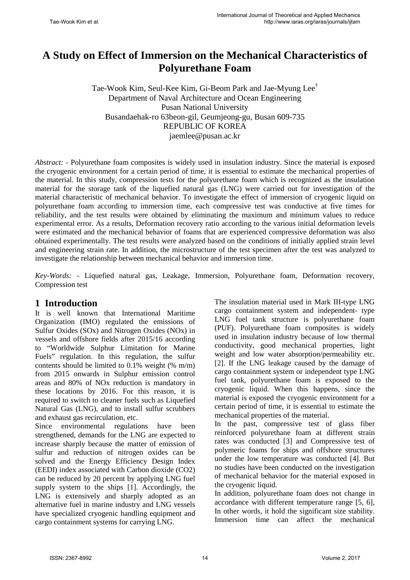# **A Study on Effect of Immersion on the Mechanical Characteristics of Polyurethane Foam**

Tae-Wook Kim, Seul-Kee Kim, Gi-Beom Park and Jae-Myung Lee† Department of Naval Architecture and Ocean Engineering Pusan National University Busandaehak-ro 63beon-gil, Geumjeong-gu, Busan 609-735 REPUBLIC OF KOREA jaemlee@pusan.ac.kr

*Abstract:* - Polyurethane foam composites is widely used in insulation industry. Since the material is exposed the cryogenic environment for a certain period of time, it is essential to estimate the mechanical properties of the material. In this study, compression tests for the polyurethane foam which is recognized as the insulation material for the storage tank of the liquefied natural gas (LNG) were carried out for investigation of the material characteristic of mechanical behavior. To investigate the effect of immersion of cryogenic liquid on polyurethane foam according to immersion time, each compressive test was conductive at five times for reliability, and the test results were obtained by eliminating the maximum and minimum values to reduce experimental error. As a results, Deformation recovery ratio according to the various initial deformation levels were estimated and the mechanical behavior of foams that are experienced compressive deformation was also obtained experimentally. The test results were analyzed based on the conditions of initially applied strain level and engineering strain rate. In addition, the microstructure of the test specimen after the test was analyzed to investigate the relationship between mechanical behavior and immersion time.

*Key-Words: -* Liquefied natural gas, Leakage, Immersion, Polyurethane foam, Deformation recovery, Compression test

#### **1 Introduction**

It is well known that International Maritime Organization (IMO) regulated the emissions of Sulfur Oxides (SOx) and Nitrogen Oxides (NOx) in vessels and offshore fields after 2015/16 according to "Worldwide Sulphur Limitation for Marine Fuels" regulation. In this regulation, the sulfur contents should be limited to  $0.1\%$  weight (% m/m) from 2015 onwards in Sulphur emission control areas and 80% of NOx reduction is mandatory in these locations by 2016. For this reason, it is required to switch to cleaner fuels such as Liquefied Natural Gas (LNG), and to install sulfur scrubbers and exhaust gas recirculation, etc.

Since environmental regulations have been strengthened, demands for the LNG are expected to increase sharply because the matter of emission of sulfur and reduction of nitrogen oxides can be solved and the Energy Efficiency Design Index (EEDI) index associated with Carbon dioxide (CO2) can be reduced by 20 percent by applying LNG fuel supply system to the ships [1]. Accordingly, the LNG is extensively and sharply adopted as an alternative fuel in marine industry and LNG vessels have specialized cryogenic handling equipment and cargo containment systems for carrying LNG.

The insulation material used in Mark III-type LNG cargo containment system and independent- type LNG fuel tank structure is polyurethane foam (PUF). Polyurethane foam composites is widely used in insulation industry because of low thermal conductivity, good mechanical properties, light weight and low water absorption/permeability etc. [2]. If the LNG leakage caused by the damage of cargo containment system or independent type LNG fuel tank, polyurethane foam is exposed to the cryogenic liquid. When this happens, since the material is exposed the cryogenic environment for a certain period of time, it is essential to estimate the mechanical properties of the material.

In the past, compressive test of glass fiber reinforced polyurethane foam at different strain rates was conducted [3] and Compressive test of polymeric foams for ships and offshore structures under the low temperature was conducted [4]. But no studies have been conducted on the investigation of mechanical behavior for the material exposed in the cryogenic liquid.

In addition, polyurethane foam does not change in accordance with different temperature range [5, 6], In other words, it hold the significant size stability. Immersion time can affect the mechanical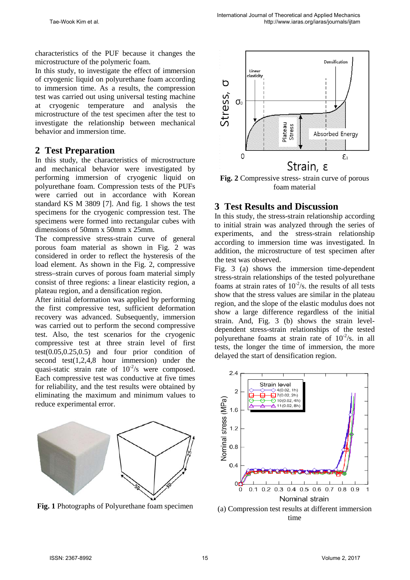characteristics of the PUF because it changes the microstructure of the polymeric foam.

In this study, to investigate the effect of immersion of cryogenic liquid on polyurethane foam according to immersion time. As a results, the compression test was carried out using universal testing machine at cryogenic temperature and analysis the microstructure of the test specimen after the test to investigate the relationship between mechanical behavior and immersion time.

## **2 Test Preparation**

In this study, the characteristics of microstructure and mechanical behavior were investigated by performing immersion of cryogenic liquid on polyurethane foam. Compression tests of the PUFs were carried out in accordance with Korean standard KS M 3809 [7]. And fig. 1 shows the test specimens for the cryogenic compression test. The specimens were formed into rectangular cubes with dimensions of 50mm x 50mm x 25mm.

The compressive stress-strain curve of general porous foam material as shown in Fig. 2 was considered in order to reflect the hysteresis of the load element. As shown in the Fig. 2, compressive stress–strain curves of porous foam material simply consist of three regions: a linear elasticity region, a plateau region, and a densification region.

After initial deformation was applied by performing the first compressive test, sufficient deformation recovery was advanced. Subsequently, immersion was carried out to perform the second compressive test. Also, the test scenarios for the cryogenic compressive test at three strain level of first  $test(0.05, 0.25, 0.5)$  and four prior condition of second test(1,2,4,8 hour immersion) under the quasi-static strain rate of  $10^{-2}/s$  were composed. Each compressive test was conductive at five times for reliability, and the test results were obtained by eliminating the maximum and minimum values to reduce experimental error.



**Fig. 1** Photographs of Polyurethane foam specimen



**Fig. 2** Compressive stress- strain curve of porous foam material

## **3 Test Results and Discussion**

In this study, the stress-strain relationship according to initial strain was analyzed through the series of experiments, and the stress-strain relationship according to immersion time was investigated. In addition, the microstructure of test specimen after the test was observed.

Fig. 3 (a) shows the immersion time-dependent stress-strain relationships of the tested polyurethane foams at strain rates of  $10^{-2}/s$ . the results of all tests show that the stress values are similar in the plateau region, and the slope of the elastic modulus does not show a large difference regardless of the initial strain. And, Fig. 3 (b) shows the strain leveldependent stress-strain relationships of the tested polyurethane foams at strain rate of  $10^{-2}/s$ . in all tests, the longer the time of immersion, the more delayed the start of densification region.



(a) Compression test results at different immersion time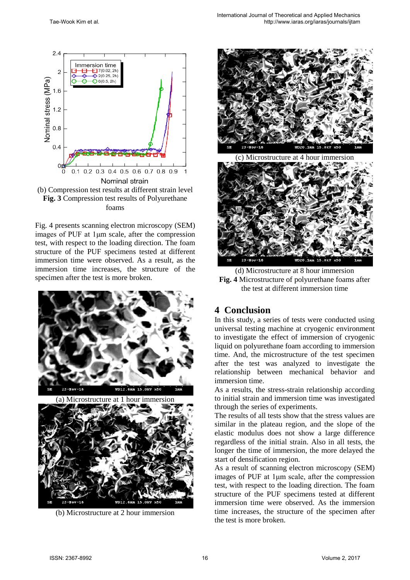



Fig. 4 presents scanning electron microscopy (SEM) images of PUF at 1μm scale, after the compression test, with respect to the loading direction. The foam structure of the PUF specimens tested at different immersion time were observed. As a result, as the immersion time increases, the structure of the specimen after the test is more broken.





(b) Microstructure at 2 hour immersion



(c) Microstructure at 4 hour immersion



(d) Microstructure at 8 hour immersion **Fig. 4** Microstructure of polyurethane foams after the test at different immersion time

## **4 Conclusion**

In this study, a series of tests were conducted using universal testing machine at cryogenic environment to investigate the effect of immersion of cryogenic liquid on polyurethane foam according to immersion time. And, the microstructure of the test specimen after the test was analyzed to investigate the relationship between mechanical behavior and immersion time.

As a results, the stress-strain relationship according to initial strain and immersion time was investigated through the series of experiments.

The results of all tests show that the stress values are similar in the plateau region, and the slope of the elastic modulus does not show a large difference regardless of the initial strain. Also in all tests, the longer the time of immersion, the more delayed the start of densification region.

As a result of scanning electron microscopy (SEM) images of PUF at 1μm scale, after the compression test, with respect to the loading direction. The foam structure of the PUF specimens tested at different immersion time were observed. As the immersion time increases, the structure of the specimen after the test is more broken.